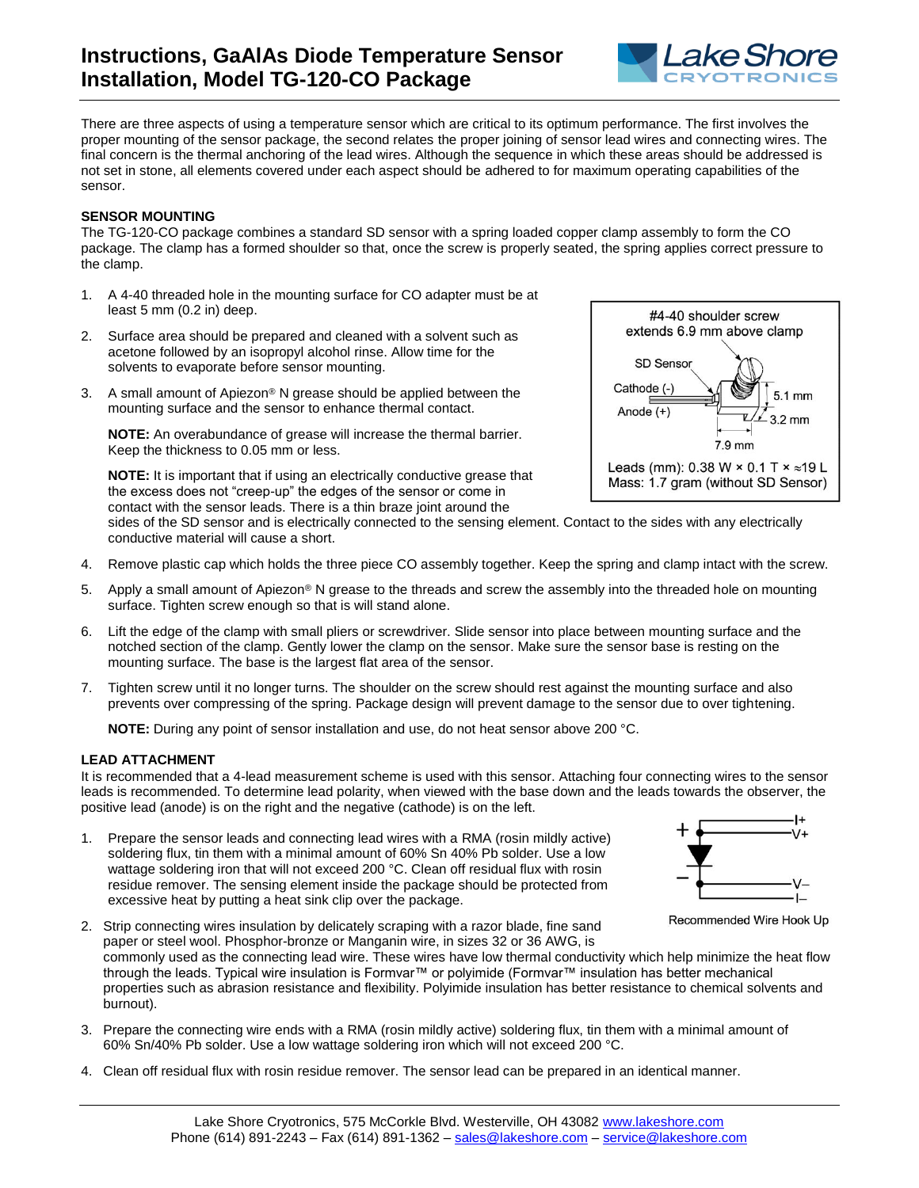

There are three aspects of using a temperature sensor which are critical to its optimum performance. The first involves the proper mounting of the sensor package, the second relates the proper joining of sensor lead wires and connecting wires. The final concern is the thermal anchoring of the lead wires. Although the sequence in which these areas should be addressed is not set in stone, all elements covered under each aspect should be adhered to for maximum operating capabilities of the sensor.

## **SENSOR MOUNTING**

The TG-120-CO package combines a standard SD sensor with a spring loaded copper clamp assembly to form the CO package. The clamp has a formed shoulder so that, once the screw is properly seated, the spring applies correct pressure to the clamp.

- 1. A 4-40 threaded hole in the mounting surface for CO adapter must be at least 5 mm (0.2 in) deep.
- 2. Surface area should be prepared and cleaned with a solvent such as acetone followed by an isopropyl alcohol rinse. Allow time for the solvents to evaporate before sensor mounting.
- 3. A small amount of Apiezon® N grease should be applied between the mounting surface and the sensor to enhance thermal contact.

**NOTE:** An overabundance of grease will increase the thermal barrier. Keep the thickness to 0.05 mm or less.

**NOTE:** It is important that if using an electrically conductive grease that the excess does not "creep-up" the edges of the sensor or come in contact with the sensor leads. There is a thin braze joint around the



sides of the SD sensor and is electrically connected to the sensing element. Contact to the sides with any electrically conductive material will cause a short.

- 4. Remove plastic cap which holds the three piece CO assembly together. Keep the spring and clamp intact with the screw.
- 5. Apply a small amount of Apiezon® N grease to the threads and screw the assembly into the threaded hole on mounting surface. Tighten screw enough so that is will stand alone.
- 6. Lift the edge of the clamp with small pliers or screwdriver. Slide sensor into place between mounting surface and the notched section of the clamp. Gently lower the clamp on the sensor. Make sure the sensor base is resting on the mounting surface. The base is the largest flat area of the sensor.
- 7. Tighten screw until it no longer turns. The shoulder on the screw should rest against the mounting surface and also prevents over compressing of the spring. Package design will prevent damage to the sensor due to over tightening.

**NOTE:** During any point of sensor installation and use, do not heat sensor above 200 °C.

## **LEAD ATTACHMENT**

It is recommended that a 4-lead measurement scheme is used with this sensor. Attaching four connecting wires to the sensor leads is recommended. To determine lead polarity, when viewed with the base down and the leads towards the observer, the positive lead (anode) is on the right and the negative (cathode) is on the left.

1. Prepare the sensor leads and connecting lead wires with a RMA (rosin mildly active) soldering flux, tin them with a minimal amount of 60% Sn 40% Pb solder. Use a low wattage soldering iron that will not exceed 200 °C. Clean off residual flux with rosin residue remover. The sensing element inside the package should be protected from excessive heat by putting a heat sink clip over the package.



Recommended Wire Hook Up

- 2. Strip connecting wires insulation by delicately scraping with a razor blade, fine sand paper or steel wool. Phosphor-bronze or Manganin wire, in sizes 32 or 36 AWG, is commonly used as the connecting lead wire. These wires have low thermal conductivity which help minimize the heat flow through the leads. Typical wire insulation is Formvar™ or polyimide (Formvar™ insulation has better mechanical properties such as abrasion resistance and flexibility. Polyimide insulation has better resistance to chemical solvents and burnout).
- 3. Prepare the connecting wire ends with a RMA (rosin mildly active) soldering flux, tin them with a minimal amount of 60% Sn/40% Pb solder. Use a low wattage soldering iron which will not exceed 200 °C.
- 4. Clean off residual flux with rosin residue remover. The sensor lead can be prepared in an identical manner.